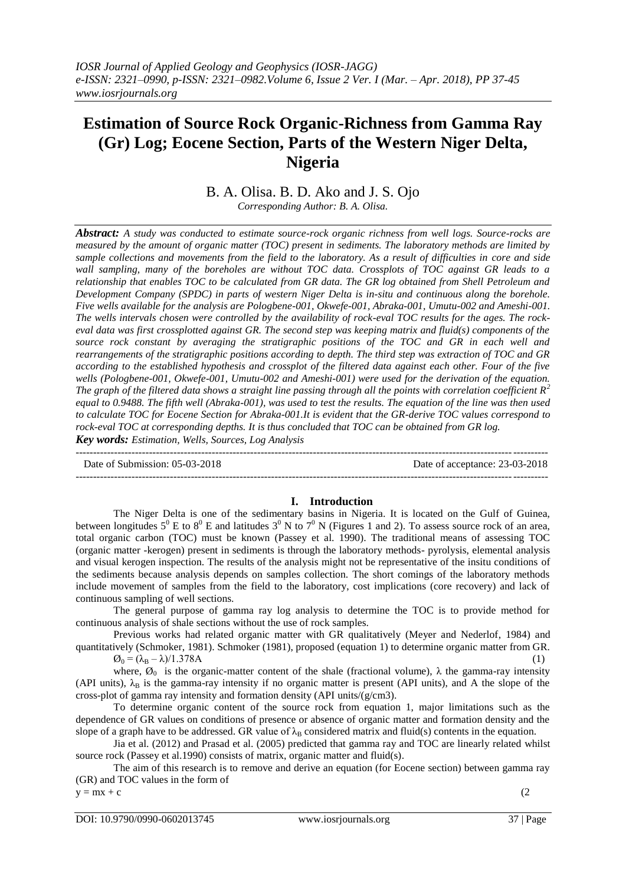# **Estimation of Source Rock Organic-Richness from Gamma Ray (Gr) Log; Eocene Section, Parts of the Western Niger Delta, Nigeria**

## B. A. Olisa. B. D. Ako and J. S. Ojo

*Corresponding Author: B. A. Olisa.*

*Abstract: A study was conducted to estimate source-rock organic richness from well logs. Source-rocks are measured by the amount of organic matter (TOC) present in sediments. The laboratory methods are limited by sample collections and movements from the field to the laboratory. As a result of difficulties in core and side wall sampling, many of the boreholes are without TOC data. Crossplots of TOC against GR leads to a relationship that enables TOC to be calculated from GR data. The GR log obtained from Shell Petroleum and Development Company (SPDC) in parts of western Niger Delta is in-situ and continuous along the borehole. Five wells available for the analysis are Pologbene-001, Okwefe-001, Abraka-001, Umutu-002 and Ameshi-001. The wells intervals chosen were controlled by the availability of rock-eval TOC results for the ages. The rockeval data was first crossplotted against GR. The second step was keeping matrix and fluid(s) components of the source rock constant by averaging the stratigraphic positions of the TOC and GR in each well and rearrangements of the stratigraphic positions according to depth. The third step was extraction of TOC and GR according to the established hypothesis and crossplot of the filtered data against each other. Four of the five wells (Pologbene-001, Okwefe-001, Umutu-002 and Ameshi-001) were used for the derivation of the equation. The graph of the filtered data shows a straight line passing through all the points with correlation coefficient R<sup>2</sup> equal to 0.9488. The fifth well (Abraka-001), was used to test the results. The equation of the line was then used to calculate TOC for Eocene Section for Abraka-001.It is evident that the GR-derive TOC values correspond to rock-eval TOC at corresponding depths. It is thus concluded that TOC can be obtained from GR log.* 

*Key words: Estimation, Wells, Sources, Log Analysis* ---------------------------------------------------------------------------------------------------------------------------------------

Date of Submission: 05-03-2018 Date of acceptance: 23-03-2018

### **I. Introduction**

The Niger Delta is one of the sedimentary basins in Nigeria. It is located on the Gulf of Guinea, between longitudes  $5^0$  E to  $8^0$  E and latitudes  $3^0$  N to  $7^0$  N (Figures 1 and 2). To assess source rock of an area, total organic carbon (TOC) must be known (Passey et al. 1990). The traditional means of assessing TOC (organic matter -kerogen) present in sediments is through the laboratory methods- pyrolysis, elemental analysis and visual kerogen inspection. The results of the analysis might not be representative of the insitu conditions of the sediments because analysis depends on samples collection. The short comings of the laboratory methods include movement of samples from the field to the laboratory, cost implications (core recovery) and lack of continuous sampling of well sections.

--------------------------------------------------------------------------------------------------------------------------------------*-*

The general purpose of gamma ray log analysis to determine the TOC is to provide method for continuous analysis of shale sections without the use of rock samples.

Previous works had related organic matter with GR qualitatively (Meyer and Nederlof, 1984) and quantitatively (Schmoker, 1981). Schmoker (1981), proposed (equation 1) to determine organic matter from GR.

 $\varnothing_0 = (\lambda_B - \lambda)/1.378A$  (1)

where,  $\varnothing_0$  is the organic-matter content of the shale (fractional volume),  $\lambda$  the gamma-ray intensity (API units),  $\lambda_B$  is the gamma-ray intensity if no organic matter is present (API units), and A the slope of the cross-plot of gamma ray intensity and formation density (API units/(g/cm3).

To determine organic content of the source rock from equation 1, major limitations such as the dependence of GR values on conditions of presence or absence of organic matter and formation density and the slope of a graph have to be addressed. GR value of  $\lambda_B$  considered matrix and fluid(s) contents in the equation.

Jia et al. (2012) and Prasad et al. (2005) predicted that gamma ray and TOC are linearly related whilst source rock (Passey et al.1990) consists of matrix, organic matter and fluid(s).

The aim of this research is to remove and derive an equation (for Eocene section) between gamma ray (GR) and TOC values in the form of

 $y = mx + c$  (2)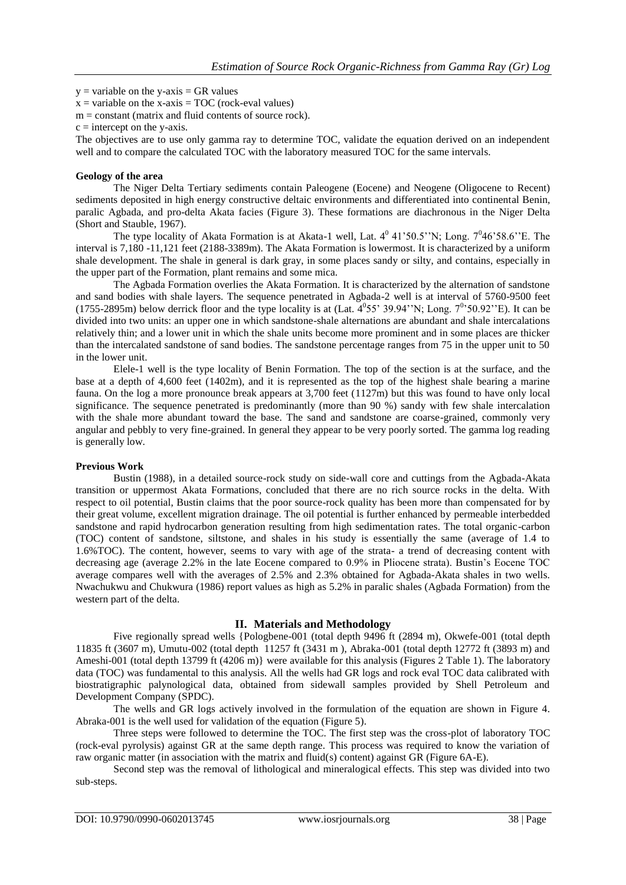$y =$  variable on the y-axis = GR values

 $x =$  variable on the x-axis = TOC (rock-eval values)

 $m = constant$  (matrix and fluid contents of source rock).

 $c =$  intercept on the y-axis.

The objectives are to use only gamma ray to determine TOC, validate the equation derived on an independent well and to compare the calculated TOC with the laboratory measured TOC for the same intervals.

## **Geology of the area**

The Niger Delta Tertiary sediments contain Paleogene (Eocene) and Neogene (Oligocene to Recent) sediments deposited in high energy constructive deltaic environments and differentiated into continental Benin, paralic Agbada, and pro-delta Akata facies (Figure 3). These formations are diachronous in the Niger Delta (Short and Stauble, 1967).

The type locality of Akata Formation is at Akata-1 well, Lat.  $4^0$  41'50.5"N; Long.  $7^0$ 46'58.6"E. The interval is 7,180 -11,121 feet (2188-3389m). The Akata Formation is lowermost. It is characterized by a uniform shale development. The shale in general is dark gray, in some places sandy or silty, and contains, especially in the upper part of the Formation, plant remains and some mica.

The Agbada Formation overlies the Akata Formation. It is characterized by the alternation of sandstone and sand bodies with shale layers. The sequence penetrated in Agbada-2 well is at interval of 5760-9500 feet (1755-2895m) below derrick floor and the type locality is at (Lat.  $4^0$ 55' 39.94''N; Long.  $7^0$ '50.92''E). It can be divided into two units: an upper one in which sandstone-shale alternations are abundant and shale intercalations relatively thin; and a lower unit in which the shale units become more prominent and in some places are thicker than the intercalated sandstone of sand bodies. The sandstone percentage ranges from 75 in the upper unit to 50 in the lower unit.

Elele-1 well is the type locality of Benin Formation. The top of the section is at the surface, and the base at a depth of 4,600 feet (1402m), and it is represented as the top of the highest shale bearing a marine fauna. On the log a more pronounce break appears at 3,700 feet (1127m) but this was found to have only local significance. The sequence penetrated is predominantly (more than 90 %) sandy with few shale intercalation with the shale more abundant toward the base. The sand and sandstone are coarse-grained, commonly very angular and pebbly to very fine-grained. In general they appear to be very poorly sorted. The gamma log reading is generally low.

### **Previous Work**

Bustin (1988), in a detailed source-rock study on side-wall core and cuttings from the Agbada-Akata transition or uppermost Akata Formations, concluded that there are no rich source rocks in the delta. With respect to oil potential, Bustin claims that the poor source-rock quality has been more than compensated for by their great volume, excellent migration drainage. The oil potential is further enhanced by permeable interbedded sandstone and rapid hydrocarbon generation resulting from high sedimentation rates. The total organic-carbon (TOC) content of sandstone, siltstone, and shales in his study is essentially the same (average of 1.4 to 1.6%TOC). The content, however, seems to vary with age of the strata- a trend of decreasing content with decreasing age (average 2.2% in the late Eocene compared to 0.9% in Pliocene strata). Bustin's Eocene TOC average compares well with the averages of 2.5% and 2.3% obtained for Agbada-Akata shales in two wells. Nwachukwu and Chukwura (1986) report values as high as 5.2% in paralic shales (Agbada Formation) from the western part of the delta.

### **II. Materials and Methodology**

Five regionally spread wells {Pologbene-001 (total depth 9496 ft (2894 m), Okwefe-001 (total depth 11835 ft (3607 m), Umutu-002 (total depth 11257 ft (3431 m ), Abraka-001 (total depth 12772 ft (3893 m) and Ameshi-001 (total depth 13799 ft (4206 m) were available for this analysis (Figures 2 Table 1). The laboratory data (TOC) was fundamental to this analysis. All the wells had GR logs and rock eval TOC data calibrated with biostratigraphic palynological data, obtained from sidewall samples provided by Shell Petroleum and Development Company (SPDC).

The wells and GR logs actively involved in the formulation of the equation are shown in Figure 4. Abraka-001 is the well used for validation of the equation (Figure 5).

Three steps were followed to determine the TOC. The first step was the cross-plot of laboratory TOC (rock-eval pyrolysis) against GR at the same depth range. This process was required to know the variation of raw organic matter (in association with the matrix and fluid(s) content) against GR (Figure 6A-E).

Second step was the removal of lithological and mineralogical effects. This step was divided into two sub-steps.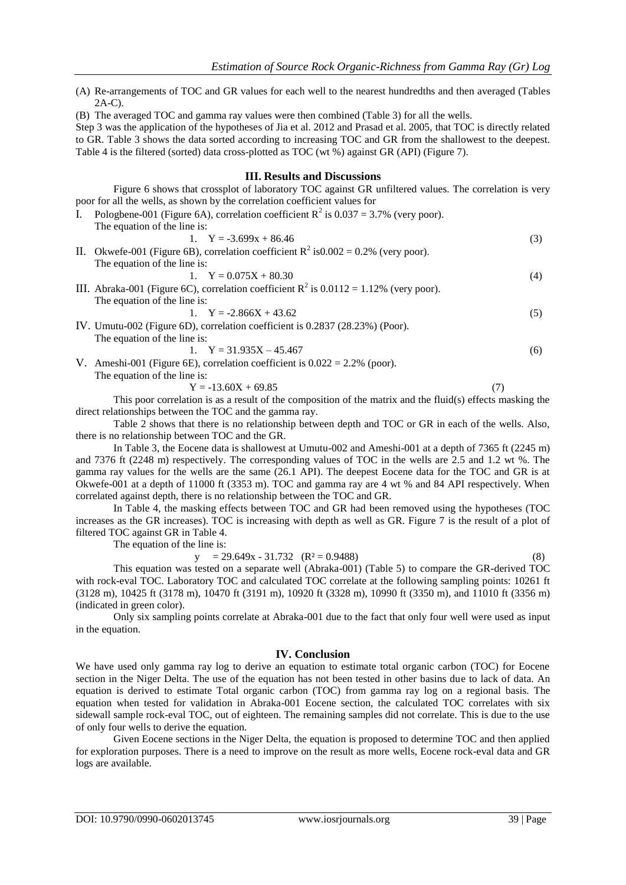- (A) Re-arrangements of TOC and GR values for each well to the nearest hundredths and then averaged (Tables  $2A-C$ ).
- (B) The averaged TOC and gamma ray values were then combined (Table 3) for all the wells.

Step 3 was the application of the hypotheses of Jia et al. 2012 and Prasad et al. 2005, that TOC is directly related to GR. Table 3 shows the data sorted according to increasing TOC and GR from the shallowest to the deepest. Table 4 is the filtered (sorted) data cross-plotted as TOC (wt %) against GR (API) (Figure 7).

### **III. Results and Discussions**

Figure 6 shows that crossplot of laboratory TOC against GR unfiltered values. The correlation is very poor for all the wells, as shown by the correlation coefficient values for

|    | I. Pologbene-001 (Figure 6A), correlation coefficient $R^2$ is 0.037 = 3.7% (very poor).  |     |
|----|-------------------------------------------------------------------------------------------|-----|
|    | The equation of the line is:                                                              |     |
|    | 1. $Y = -3.699x + 86.46$                                                                  | (3) |
| П. | Okwefe-001 (Figure 6B), correlation coefficient $R^2$ is 0.002 = 0.2% (very poor).        |     |
|    | The equation of the line is:                                                              |     |
|    | 1. $Y = 0.075X + 80.30$                                                                   | (4) |
|    | III. Abraka-001 (Figure 6C), correlation coefficient $R^2$ is 0.0112 = 1.12% (very poor). |     |
|    | The equation of the line is:                                                              |     |
|    | 1. $Y = -2.866X + 43.62$                                                                  | (5) |
|    | IV. Umutu-002 (Figure 6D), correlation coefficient is 0.2837 (28.23%) (Poor).             |     |
|    | The equation of the line is:                                                              |     |
|    | 1. $Y = 31.935X - 45.467$                                                                 | (6) |
|    | V. Ameshi-001 (Figure 6E), correlation coefficient is $0.022 = 2.2\%$ (poor).             |     |
|    |                                                                                           |     |

The equation of the line is:

 $Y = -13.60X + 69.85$  (7)

This poor correlation is as a result of the composition of the matrix and the fluid(s) effects masking the direct relationships between the TOC and the gamma ray.

Table 2 shows that there is no relationship between depth and TOC or GR in each of the wells. Also, there is no relationship between TOC and the GR.

In Table 3, the Eocene data is shallowest at Umutu-002 and Ameshi-001 at a depth of 7365 ft (2245 m) and 7376 ft (2248 m) respectively. The corresponding values of TOC in the wells are 2.5 and 1.2 wt %. The gamma ray values for the wells are the same (26.1 API). The deepest Eocene data for the TOC and GR is at Okwefe-001 at a depth of 11000 ft (3353 m). TOC and gamma ray are 4 wt % and 84 API respectively. When correlated against depth, there is no relationship between the TOC and GR.

In Table 4, the masking effects between TOC and GR had been removed using the hypotheses (TOC increases as the GR increases). TOC is increasing with depth as well as GR. Figure 7 is the result of a plot of filtered TOC against GR in Table 4.

The equation of the line is:

$$
y = 29.649x - 31.732 \quad (R^2 = 0.9488)
$$
 (8)

This equation was tested on a separate well (Abraka-001) (Table 5) to compare the GR-derived TOC with rock-eval TOC. Laboratory TOC and calculated TOC correlate at the following sampling points: 10261 ft (3128 m), 10425 ft (3178 m), 10470 ft (3191 m), 10920 ft (3328 m), 10990 ft (3350 m), and 11010 ft (3356 m) (indicated in green color).

Only six sampling points correlate at Abraka-001 due to the fact that only four well were used as input in the equation.

### **IV. Conclusion**

We have used only gamma ray log to derive an equation to estimate total organic carbon (TOC) for Eocene section in the Niger Delta. The use of the equation has not been tested in other basins due to lack of data. An equation is derived to estimate Total organic carbon (TOC) from gamma ray log on a regional basis. The equation when tested for validation in Abraka-001 Eocene section, the calculated TOC correlates with six sidewall sample rock-eval TOC, out of eighteen. The remaining samples did not correlate. This is due to the use of only four wells to derive the equation.

Given Eocene sections in the Niger Delta, the equation is proposed to determine TOC and then applied for exploration purposes. There is a need to improve on the result as more wells, Eocene rock-eval data and GR logs are available.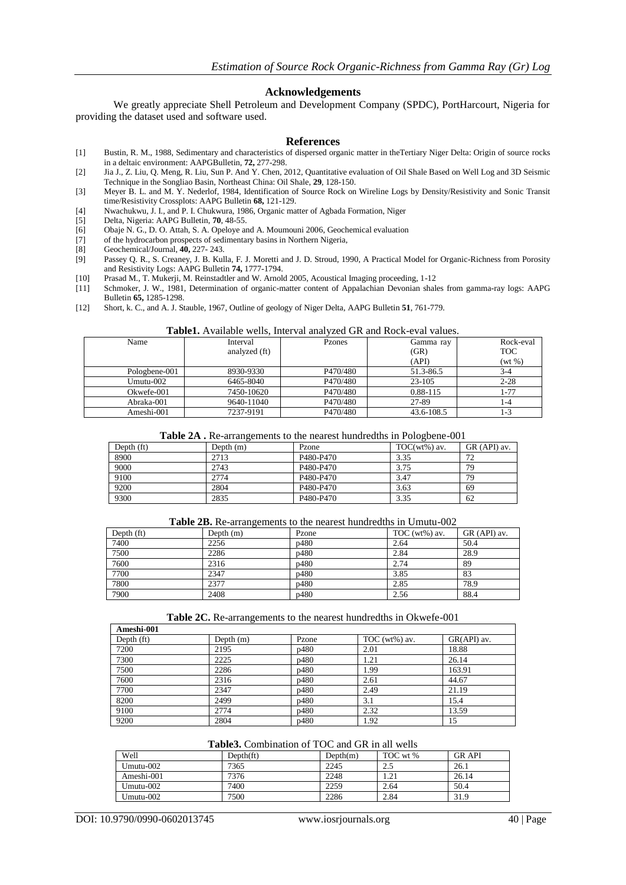## **Acknowledgements**

We greatly appreciate Shell Petroleum and Development Company (SPDC), PortHarcourt, Nigeria for providing the dataset used and software used.

#### **References**

- [1] Bustin, R. M., 1988, Sedimentary and characteristics of dispersed organic matter in theTertiary Niger Delta: Origin of source rocks in a deltaic environment: AAPGBulletin, **72,** 277-298.
- [2] Jia J., Z. Liu, Q. Meng, R. Liu, Sun P. And Y. Chen, 2012, Quantitative evaluation of Oil Shale Based on Well Log and 3D Seismic Technique in the Songliao Basin, Northeast China: Oil Shale, **29**, 128-150.
- [3] Meyer B. L. and M. Y. Nederlof, 1984, Identification of Source Rock on Wireline Logs by Density/Resistivity and Sonic Transit time/Resistivity Crossplots: AAPG Bulletin **68,** 121-129.
- [4] Nwachukwu, J. I., and P. I. Chukwura, 1986, Organic matter of Agbada Formation, Niger
- [5] Delta, Nigeria: AAPG Bulletin, **70**, 48-55.
- [6] Obaje N. G., D. O. Attah, S. A. Opeloye and A. Moumouni 2006, Geochemical evaluation
- [7] of the hydrocarbon prospects of sedimentary basins in Northern Nigeria,
- [8] Geochemical/Journal, **40,** 227- 243.
- [9] Passey Q. R., S. Creaney, J. B. Kulla, F. J. Moretti and J. D. Stroud, 1990, A Practical Model for Organic-Richness from Porosity and Resistivity Logs: AAPG Bulletin **74,** 1777-1794.
- [10] Prasad M., T. Mukerji, M. Reinstadtler and W. Arnold 2005, Acoustical Imaging proceeding, 1-12
- [11] Schmoker, J. W., 1981, Determination of organic-matter content of Appalachian Devonian shales from gamma-ray logs: AAPG Bulletin **65,** 1285-1298.
- [12] Short, k. C., and A. J. Stauble, 1967, Outline of geology of Niger Delta, AAPG Bulletin **51**, 761-779.

#### **Table1.** Available wells, Interval analyzed GR and Rock-eval values.

| Name          | Interval<br>analyzed (ft) | Pzones   | Gamma ray<br>(GR)<br>(API) | Rock-eval<br><b>TOC</b><br>$(wt\% )$ |
|---------------|---------------------------|----------|----------------------------|--------------------------------------|
| Pologbene-001 | 8930-9330                 | P470/480 | 51.3-86.5                  | $3 - 4$                              |
| Umutu-002     | 6465-8040                 | P470/480 | 23-105                     | $2 - 28$                             |
| Okwefe-001    | 7450-10620                | P470/480 | 0.88-115                   | 1-77                                 |
| Abraka-001    | 9640-11040                | P470/480 | 27-89                      | $1 - 4$                              |
| Ameshi-001    | 7237-9191                 | P470/480 | 43.6-108.5                 | 1-3                                  |

#### **Table 2A .** Re-arrangements to the nearest hundredths in Pologbene-001

| Depth (ft) | Depth (m) | Pzone                              | $TOC(wt%)$ av. | GR (API) av. |
|------------|-----------|------------------------------------|----------------|--------------|
| 8900       | 2713      | P <sub>480</sub> -P <sub>470</sub> | 3.35           | 72           |
| 9000       | 2743      | P <sub>480</sub> -P <sub>470</sub> | 3.75           | 79           |
| 9100       | 2774      | P <sub>480</sub> -P <sub>470</sub> | 3.47           | 79           |
| 9200       | 2804      | P <sub>480</sub> -P <sub>470</sub> | 3.63           | 69           |
| 9300       | 2835      | P <sub>480</sub> -P <sub>470</sub> | 3.35           | 62           |

#### **Table 2B.** Re-arrangements to the nearest hundredths in Umutu-002

| Depth $(ft)$ | Depth $(m)$ | Pzone | TOC ( $wt\%$ ) av. | GR (API) av. |
|--------------|-------------|-------|--------------------|--------------|
| 7400         | 2256        | p480  | 2.64               | 50.4         |
| 7500         | 2286        | p480  | 2.84               | 28.9         |
| 7600         | 2316        | p480  | 2.74               | 89           |
| 7700         | 2347        | p480  | 3.85               | 83           |
| 7800         | 2377        | p480  | 2.85               | 78.9         |
| 7900         | 2408        | p480  | 2.56               | 88.4         |

#### **Table 2C.** Re-arrangements to the nearest hundredths in Okwefe-001

| Ameshi-001   |             |       |                  |             |
|--------------|-------------|-------|------------------|-------------|
| Depth $(ft)$ | Depth $(m)$ | Pzone | TOC $(wt\%)$ av. | GR(API) av. |
| 7200         | 2195        | p480  | 2.01             | 18.88       |
| 7300         | 2225        | p480  | 1.21             | 26.14       |
| 7500         | 2286        | p480  | 1.99             | 163.91      |
| 7600         | 2316        | p480  | 2.61             | 44.67       |
| 7700         | 2347        | p480  | 2.49             | 21.19       |
| 8200         | 2499        | p480  | 3.1              | 15.4        |
| 9100         | 2774        | p480  | 2.32             | 13.59       |
| 9200         | 2804        | p480  | 1.92             | 15          |

## **Table3.** Combination of TOC and GR in all wells

| Well         | Depth(f <sub>t</sub> ) | Depth(m) | TOC wt % | <b>GRAPI</b> |
|--------------|------------------------|----------|----------|--------------|
| Umutu-002    | 7365                   | 2245     | 2.5      | 26.1         |
| Ameshi-001   | 7376                   | 2248     | 1.21     | 26.14        |
| Umutu $-002$ | 7400                   | 2259     | 2.64     | 50.4         |
| Umutu-002    | 7500                   | 2286     | 2.84     | 31.9         |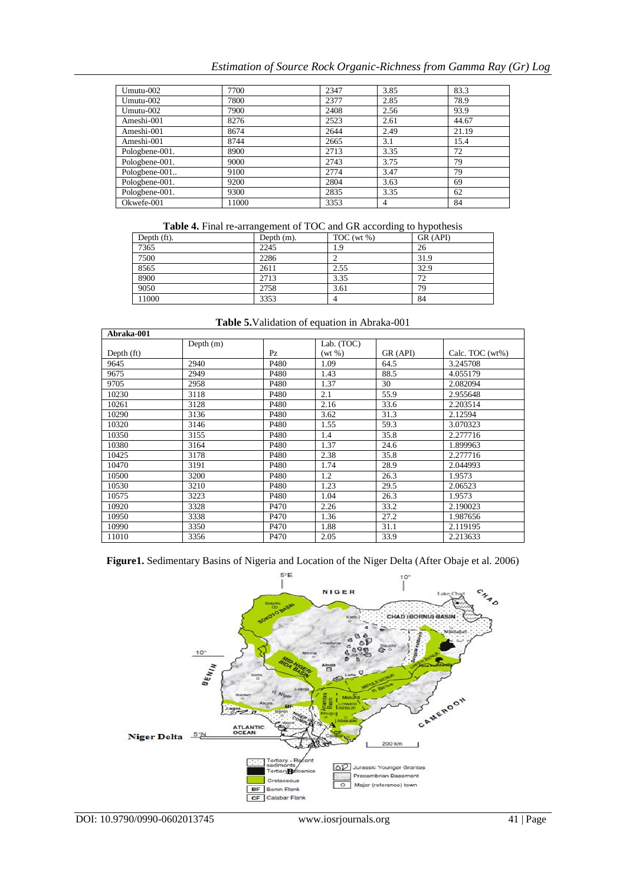## *Estimation of Source Rock Organic-Richness from Gamma Ray (Gr) Log*

| Umutu-002      | 7700  | 2347 | 3.85 | 83.3  |
|----------------|-------|------|------|-------|
| Umutu-002      | 7800  | 2377 | 2.85 | 78.9  |
| Umutu-002      | 7900  | 2408 | 2.56 | 93.9  |
| Ameshi-001     | 8276  | 2523 | 2.61 | 44.67 |
| Ameshi-001     | 8674  | 2644 | 2.49 | 21.19 |
| Ameshi-001     | 8744  | 2665 | 3.1  | 15.4  |
| Pologbene-001. | 8900  | 2713 | 3.35 | 72    |
| Pologbene-001. | 9000  | 2743 | 3.75 | 79    |
| Pologbene-001  | 9100  | 2774 | 3.47 | 79    |
| Pologbene-001. | 9200  | 2804 | 3.63 | 69    |
| Pologbene-001. | 9300  | 2835 | 3.35 | 62    |
| Okwefe-001     | 11000 | 3353 | 4    | 84    |

|  | Table 4. Final re-arrangement of TOC and GR according to hypothesis |  |  |  |
|--|---------------------------------------------------------------------|--|--|--|
|  |                                                                     |  |  |  |

|             | ຼ             | $\sim$          | . .      |
|-------------|---------------|-----------------|----------|
| Depth (ft). | Depth $(m)$ . | $TOC$ (wt $%$ ) | GR (API) |
| 7365        | 2245          | 1.9             | 26       |
| 7500        | 2286          |                 | 31.9     |
| 8565        | 2611          | 2.55            | 32.9     |
| 8900        | 2713          | 3.35            | 72       |
| 9050        | 2758          | 3.61            | 79       |
| 11000       | 3353          |                 | 84       |

| Abraka-001 |             |                  |            |          |                    |
|------------|-------------|------------------|------------|----------|--------------------|
|            | Depth $(m)$ |                  | Lab. (TOC) |          |                    |
| Depth (ft) |             | Pz               | $(wt \%)$  | GR (API) | Calc. TOC $(wt\%)$ |
| 9645       | 2940        | P480             | 1.09       | 64.5     | 3.245708           |
| 9675       | 2949        | P480             | 1.43       | 88.5     | 4.055179           |
| 9705       | 2958        | P480             | 1.37       | 30       | 2.082094           |
| 10230      | 3118        | P480             | 2.1        | 55.9     | 2.955648           |
| 10261      | 3128        | P <sub>480</sub> | 2.16       | 33.6     | 2.203514           |
| 10290      | 3136        | P480             | 3.62       | 31.3     | 2.12594            |
| 10320      | 3146        | P480             | 1.55       | 59.3     | 3.070323           |
| 10350      | 3155        | P480             | 1.4        | 35.8     | 2.277716           |
| 10380      | 3164        | P480             | 1.37       | 24.6     | 1.899963           |
| 10425      | 3178        | P <sub>480</sub> | 2.38       | 35.8     | 2.277716           |
| 10470      | 3191        | P480             | 1.74       | 28.9     | 2.044993           |
| 10500      | 3200        | P480             | 1.2        | 26.3     | 1.9573             |
| 10530      | 3210        | P480             | 1.23       | 29.5     | 2.06523            |
| 10575      | 3223        | P480             | 1.04       | 26.3     | 1.9573             |
| 10920      | 3328        | P470             | 2.26       | 33.2     | 2.190023           |
| 10950      | 3338        | P470             | 1.36       | 27.2     | 1.987656           |
| 10990      | 3350        | P470             | 1.88       | 31.1     | 2.119195           |
| 11010      | 3356        | P <sub>470</sub> | 2.05       | 33.9     | 2.213633           |

**Table 5.**Validation of equation in Abraka-001

**Figure1.** Sedimentary Basins of Nigeria and Location of the Niger Delta (After Obaje et al. 2006)

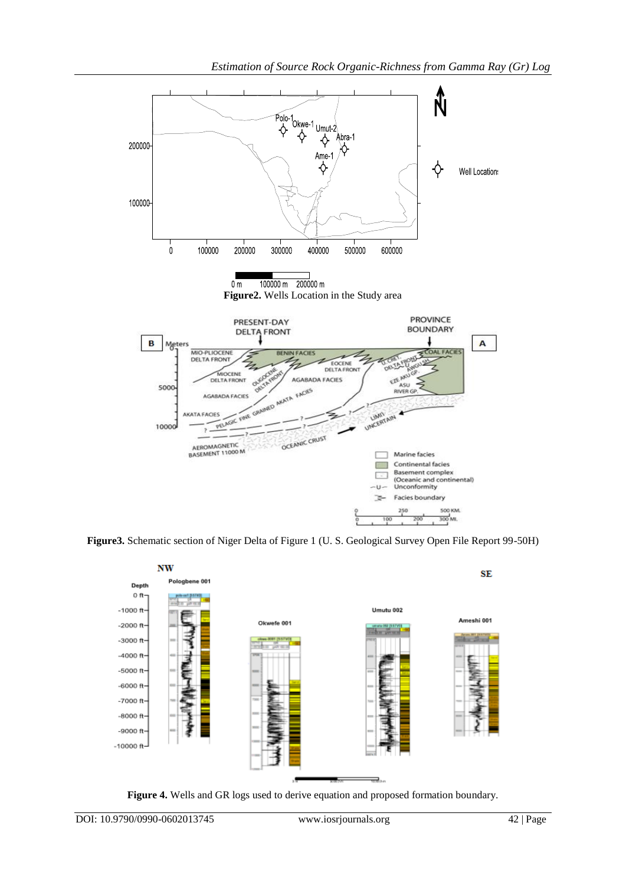

**Figure3.** Schematic section of Niger Delta of Figure 1 (U. S. Geological Survey Open File Report 99-50H)



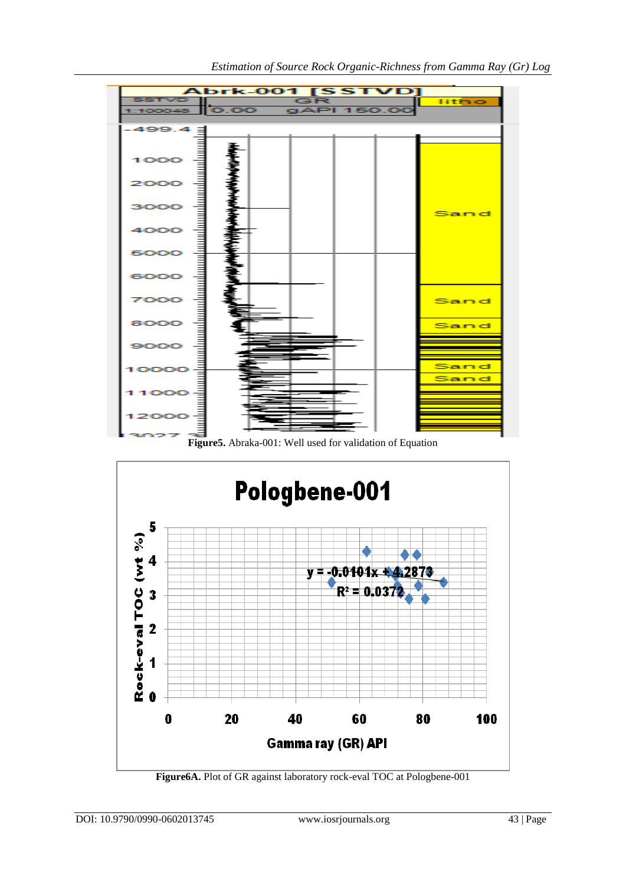

**Figure5.** Abraka-001: Well used for validation of Equation



**Figure6A.** Plot of GR against laboratory rock-eval TOC at Pologbene-001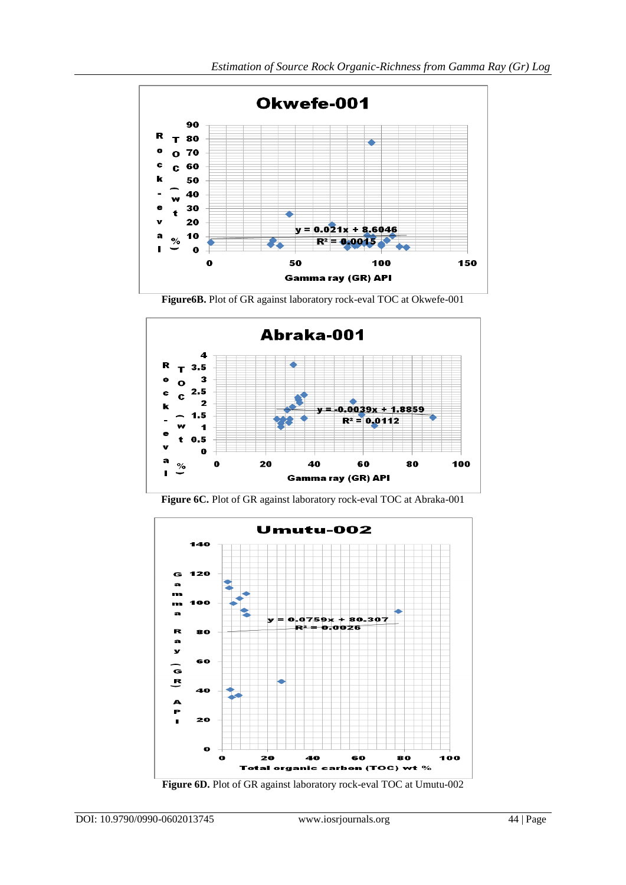

**Figure6B.** Plot of GR against laboratory rock-eval TOC at Okwefe-001



**Figure 6C.** Plot of GR against laboratory rock-eval TOC at Abraka-001